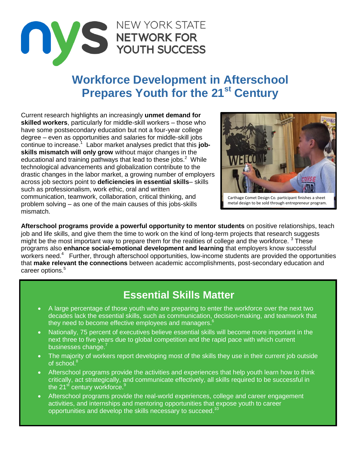

## **Workforce Development in Afterschool Prepares Youth for the 21st Century**

Current research highlights an increasingly **unmet demand for skilled workers**, particularly for middle-skill workers – those who have some postsecondary education but not a four-year college degree – even as opportunities and salaries for middle-skill jobs continue to increase.<sup>1</sup> Labor market analyses predict that this job**skills mismatch will only grow** without major changes in the educational and training pathways that lead to these jobs. $2$  While technological advancements and globalization contribute to the drastic changes in the labor market, a growing number of employers across job sectors point to **deficiencies in essential skills**– skills such as professionalism, work ethic, oral and written communication, teamwork, collaboration, critical thinking, and problem solving – as one of the main causes of this jobs-skills mismatch.



Carthage Comet Design Co. participant finishes a sheet metal design to be sold through entrepreneur program.

**Afterschool programs provide a powerful opportunity to mentor students** on positive relationships, teach job and life skills, and give them the time to work on the kind of long-term projects that research suggests might be the most important way to prepare them for the realities of college and the workforce.  $3$  These programs also **enhance social-emotional development and learning** that employers know successful workers need.<sup>4</sup> Further, through afterschool opportunities, low-income students are provided the opportunities that **make relevant the connections** between academic accomplishments, post-secondary education and career options.<sup>5</sup>

## **Essential Skills Matter**

- A large percentage of those youth who are preparing to enter the workforce over the next two decades lack the essential skills, such as communication, decision-making, and teamwork that they need to become effective employees and managers.<sup>6</sup>
- Nationally, 75 percent of executives believe essential skills will become more important in the next three to five years due to global competition and the rapid pace with which current businesses change.<sup>7</sup>
- The majority of workers report developing most of the skills they use in their current job outside of school.<sup>8</sup>
- Afterschool programs provide the activities and experiences that help youth learn how to think critically, act strategically, and communicate effectively, all skills required to be successful in the 21<sup>st</sup> century workforce.<sup>9</sup>
- Afterschool programs provide the real-world experiences, college and career engagement activities, and internships and mentoring opportunities that expose youth to career opportunities and develop the skills necessary to succeed.<sup>10</sup>